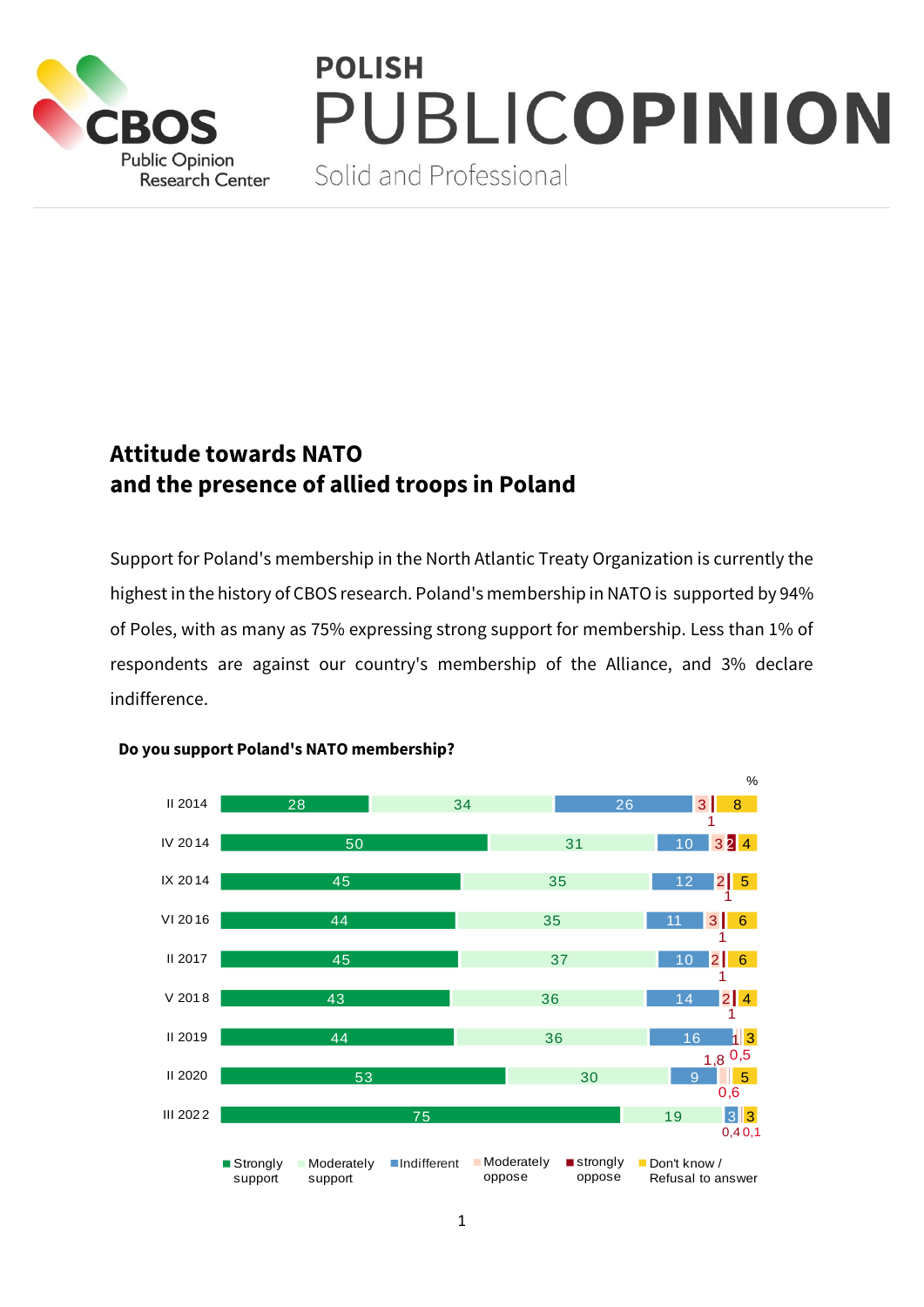

## **POLISH** PUBLICOPINION

Solid and Professional

## **Attitude towards NATO and the presence of allied troops in Poland**

Support for Poland's membership in the North Atlantic Treaty Organization is currently the highest in the history of CBOS research. Poland's membership in NATO is supported by 94% of Poles, with as many as 75% expressing strong support for membership. Less than 1% of respondents are against our country's membership of the Alliance, and 3% declare indifference.



## **Do you support Poland's NATO membership?**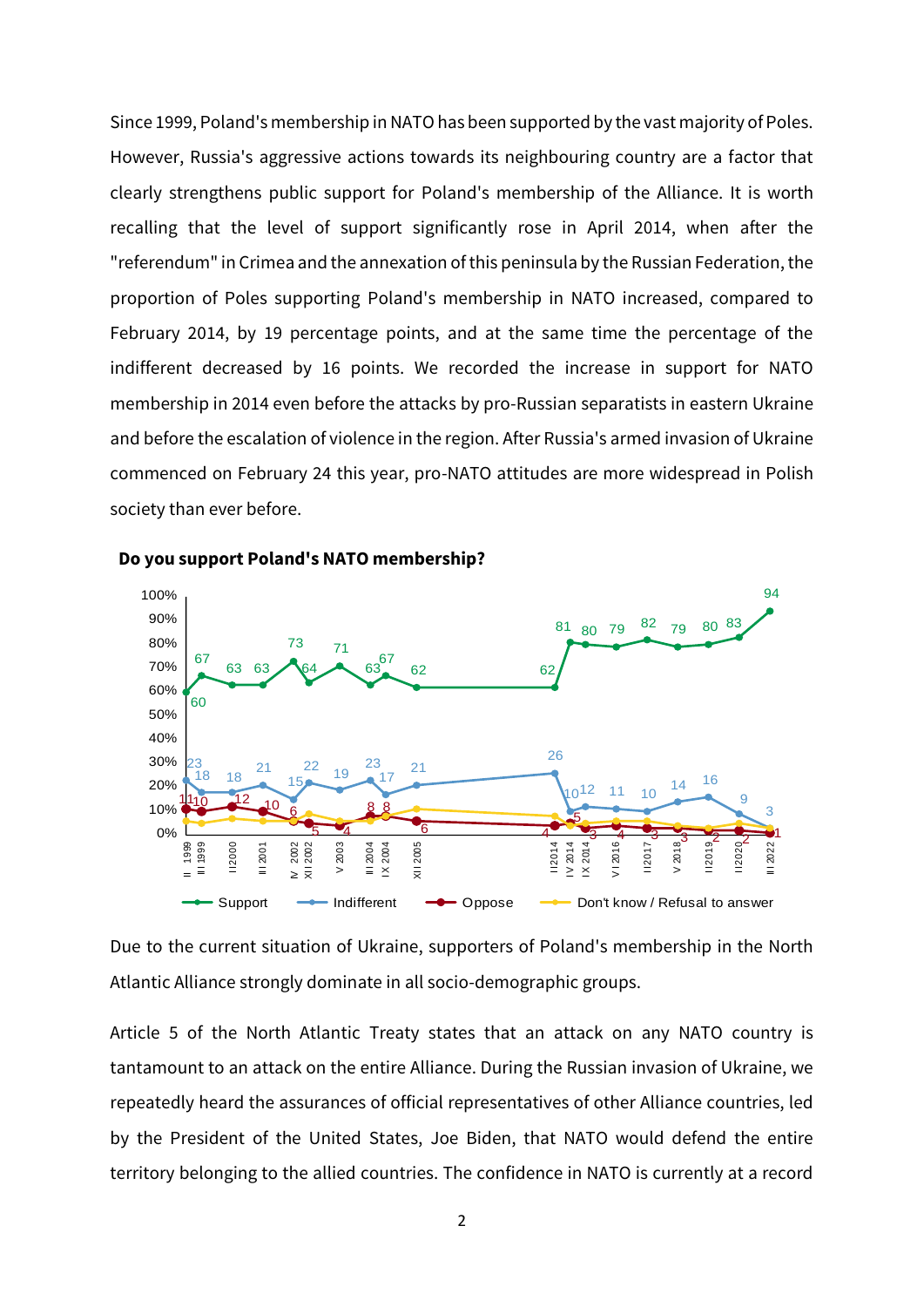Since 1999, Poland's membership in NATO has been supported by the vast majority of Poles. However, Russia's aggressive actions towards its neighbouring country are a factor that clearly strengthens public support for Poland's membership of the Alliance. It is worth recalling that the level of support significantly rose in April 2014, when after the "referendum" in Crimea and the annexation of this peninsula by the Russian Federation, the proportion of Poles supporting Poland's membership in NATO increased, compared to February 2014, by 19 percentage points, and at the same time the percentage of the indifferent decreased by 16 points. We recorded the increase in support for NATO membership in 2014 even before the attacks by pro-Russian separatists in eastern Ukraine and before the escalation of violence in the region. After Russia's armed invasion of Ukraine commenced on February 24 this year, pro-NATO attitudes are more widespread in Polish society than ever before.



**Do you support Poland's NATO membership?**

Due to the current situation of Ukraine, supporters of Poland's membership in the North Atlantic Alliance strongly dominate in all socio-demographic groups.

Article 5 of the North Atlantic Treaty states that an attack on any NATO country is tantamount to an attack on the entire Alliance. During the Russian invasion of Ukraine, we repeatedly heard the assurances of official representatives of other Alliance countries, led by the President of the United States, Joe Biden, that NATO would defend the entire territory belonging to the allied countries. The confidence in NATO is currently at a record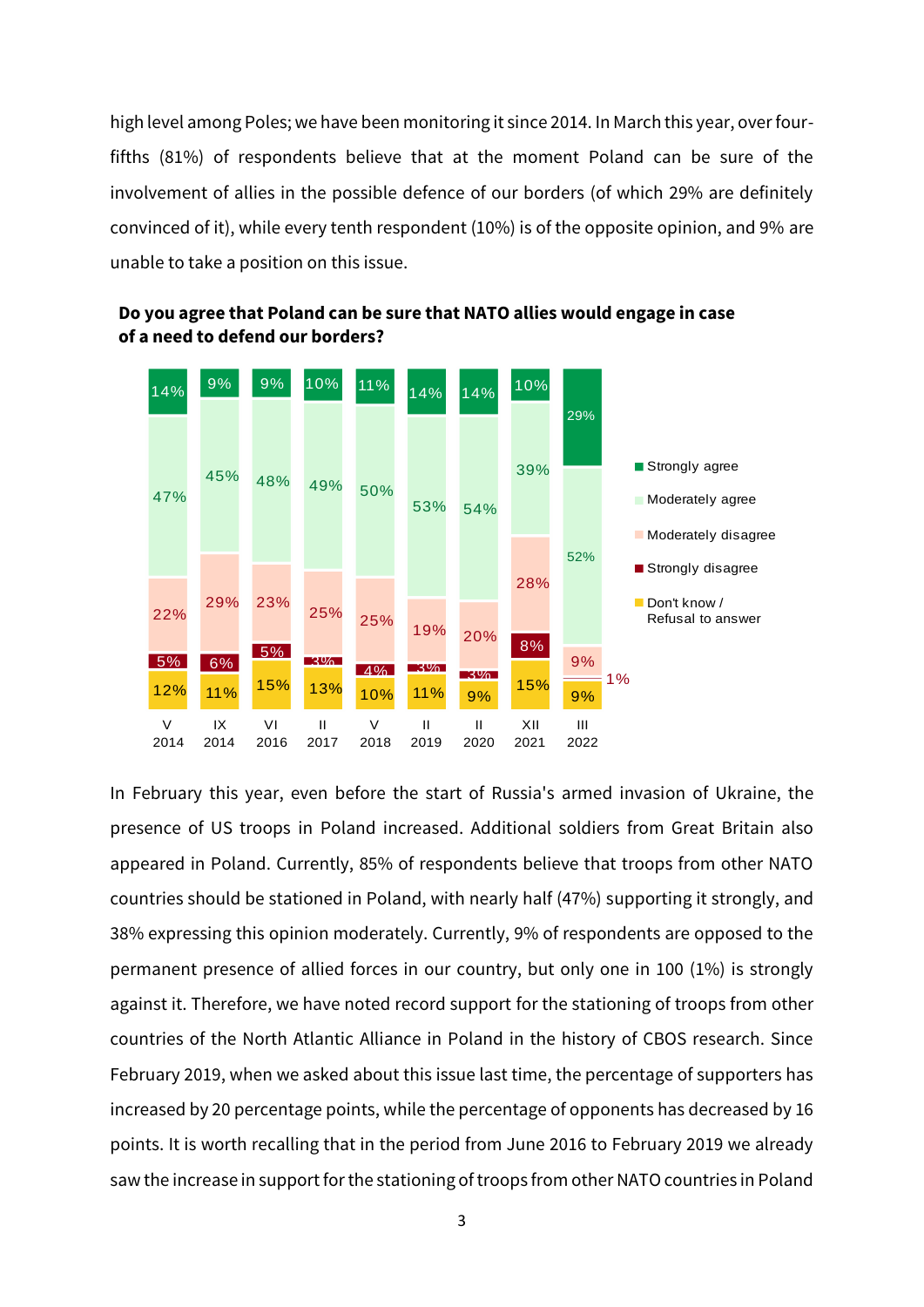high level among Poles; we have been monitoring it since 2014. In March this year, over fourfifths (81%) of respondents believe that at the moment Poland can be sure of the involvement of allies in the possible defence of our borders (of which 29% are definitely convinced of it), while every tenth respondent (10%) is of the opposite opinion, and 9% are unable to take a position on this issue.





In February this year, even before the start of Russia's armed invasion of Ukraine, the presence of US troops in Poland increased. Additional soldiers from Great Britain also appeared in Poland. Currently, 85% of respondents believe that troops from other NATO countries should be stationed in Poland, with nearly half (47%) supporting it strongly, and 38% expressing this opinion moderately. Currently, 9% of respondents are opposed to the permanent presence of allied forces in our country, but only one in 100 (1%) is strongly against it. Therefore, we have noted record support for the stationing of troops from other countries of the North Atlantic Alliance in Poland in the history of CBOS research. Since February 2019, when we asked about this issue last time, the percentage of supporters has increased by 20 percentage points, while the percentage of opponents has decreased by 16 points. It is worth recalling that in the period from June 2016 to February 2019 we already saw the increase in support for the stationing of troops from other NATO countries in Poland